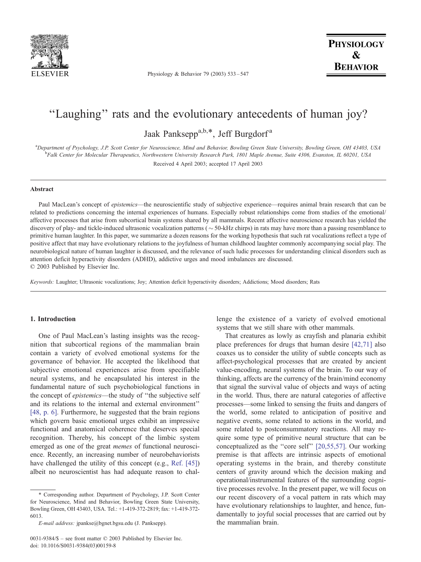

Physiology & Behavior 79 (2003) 533– 547

**PHYSIOLOGY**  $\mathbf{x}$ **BEHAVIOR** 

# ''Laughing'' rats and the evolutionary antecedents of human joy?

Jaak Panksepp<sup>a,b,\*</sup>, Jeff Burgdorf<sup>a</sup>

<sup>a</sup> Department of Psychology, J.P. Scott Center for Neuroscience, Mind and Behavior, Bowling Green State University, Bowling Green, OH 43403, USA behavior behavior, Bowling Green, OH 43403, USA Falk Center for Molecular Therapeutics, Northwestern University Research Park, 1801 Maple Avenue, Suite 4306, Evanston, IL 60201, USA

Received 4 April 2003; accepted 17 April 2003

#### Abstract

Paul MacLean's concept of *epistemics*—the neuroscientific study of subjective experience—requires animal brain research that can be related to predictions concerning the internal experiences of humans. Especially robust relationships come from studies of the emotional/ affective processes that arise from subcortical brain systems shared by all mammals. Recent affective neuroscience research has yielded the discovery of play- and tickle-induced ultrasonic vocalization patterns ( $\sim$  50-kHz chirps) in rats may have more than a passing resemblance to primitive human laughter. In this paper, we summarize a dozen reasons for the working hypothesis that such rat vocalizations reflect a type of positive affect that may have evolutionary relations to the joyfulness of human childhood laughter commonly accompanying social play. The neurobiological nature of human laughter is discussed, and the relevance of such ludic processes for understanding clinical disorders such as attention deficit hyperactivity disorders (ADHD), addictive urges and mood imbalances are discussed.  $© 2003$  Published by Elsevier Inc.

Keywords: Laughter; Ultrasonic vocalizations; Joy; Attention deficit hyperactivity disorders; Addictions; Mood disorders; Rats

## 1. Introduction

One of Paul MacLean's lasting insights was the recognition that subcortical regions of the mammalian brain contain a variety of evolved emotional systems for the governance of behavior. He accepted the likelihood that subjective emotional experiences arise from specifiable neural systems, and he encapsulated his interest in the fundamental nature of such psychobiological functions in the concept of epistemics—the study of ''the subjective self and its relations to the internal and external environment'' [\[48,](#page-13-0) p. 6]. Furthermore, he suggested that the brain regions which govern basic emotional urges exhibit an impressive functional and anatomical coherence that deserves special recognition. Thereby, his concept of the limbic system emerged as one of the great memes of functional neuroscience. Recently, an increasing number of neurobehaviorists have challenged the utility of this concept (e.g., Ref. [\[45\]\)](#page-13-0) albeit no neuroscientist has had adequate reason to challenge the existence of a variety of evolved emotional systems that we still share with other mammals.

That creatures as lowly as crayfish and planaria exhibit place preferences for drugs that human desire [\[42,71\]](#page-13-0) also coaxes us to consider the utility of subtle concepts such as affect-psychological processes that are created by ancient value-encoding, neural systems of the brain. To our way of thinking, affects are the currency of the brain/mind economy that signal the survival value of objects and ways of acting in the world. Thus, there are natural categories of affective processes—some linked to sensing the fruits and dangers of the world, some related to anticipation of positive and negative events, some related to actions in the world, and some related to postconsummatory reactions. All may require some type of primitive neural structure that can be conceptualized as the ''core self'' [\[20,55,57\].](#page-12-0) Our working premise is that affects are intrinsic aspects of emotional operating systems in the brain, and thereby constitute centers of gravity around which the decision making and operational/instrumental features of the surrounding cognitive processes revolve. In the present paper, we will focus on our recent discovery of a vocal pattern in rats which may have evolutionary relationships to laughter, and hence, fundamentally to joyful social processes that are carried out by the mammalian brain.

<sup>\*</sup> Corresponding author. Department of Psychology, J.P. Scott Center for Neuroscience, Mind and Behavior, Bowling Green State University, Bowling Green, OH 43403, USA. Tel.: +1-419-372-2819; fax: +1-419-372- 6013.

E-mail address: jpankse@bgnet.bgsu.edu (J. Panksepp).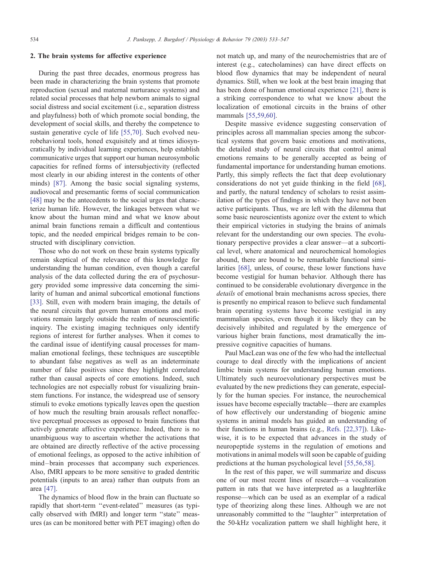#### 2. The brain systems for affective experience

During the past three decades, enormous progress has been made in characterizing the brain systems that promote reproduction (sexual and maternal nurturance systems) and related social processes that help newborn animals to signal social distress and social excitement (i.e., separation distress and playfulness) both of which promote social bonding, the development of social skills, and thereby the competence to sustain generative cycle of life [\[55,70\].](#page-13-0) Such evolved neurobehavioral tools, honed exquisitely and at times idiosyncratically by individual learning experiences, help establish communicative urges that support our human neurosymbolic capacities for refined forms of intersubjectivity (reflected most clearly in our abiding interest in the contents of other minds) [\[87\].](#page-14-0) Among the basic social signaling systems, audiovocal and presemantic forms of social communication [\[48\]](#page-13-0) may be the antecedents to the social urges that characterize human life. However, the linkages between what we know about the human mind and what we know about animal brain functions remain a difficult and contentious topic, and the needed empirical bridges remain to be constructed with disciplinary conviction.

Those who do not work on these brain systems typically remain skeptical of the relevance of this knowledge for understanding the human condition, even though a careful analysis of the data collected during the era of psychosurgery provided some impressive data concerning the similarity of human and animal subcortical emotional functions [\[33\].](#page-12-0) Still, even with modern brain imaging, the details of the neural circuits that govern human emotions and motivations remain largely outside the realm of neuroscientific inquiry. The existing imaging techniques only identify regions of interest for further analyses. When it comes to the cardinal issue of identifying causal processes for mammalian emotional feelings, these techniques are susceptible to abundant false negatives as well as an indeterminate number of false positives since they highlight correlated rather than causal aspects of core emotions. Indeed, such technologies are not especially robust for visualizing brainstem functions. For instance, the widespread use of sensory stimuli to evoke emotions typically leaves open the question of how much the resulting brain arousals reflect nonaffective perceptual processes as opposed to brain functions that actively generate affective experience. Indeed, there is no unambiguous way to ascertain whether the activations that are obtained are directly reflective of the active processing of emotional feelings, as opposed to the active inhibition of mind–brain processes that accompany such experiences. Also, fMRI appears to be more sensitive to graded dentritic potentials (inputs to an area) rather than outputs from an area [\[47\].](#page-13-0)

The dynamics of blood flow in the brain can fluctuate so rapidly that short-term ''event-related'' measures (as typically observed with fMRI) and longer term ''state'' measures (as can be monitored better with PET imaging) often do not match up, and many of the neurochemistries that are of interest (e.g., catecholamines) can have direct effects on blood flow dynamics that may be independent of neural dynamics. Still, when we look at the best brain imaging that has been done of human emotional experience [\[21\],](#page-12-0) there is a striking correspondence to what we know about the localization of emotional circuits in the brains of other mammals [\[55,59,60\].](#page-13-0)

Despite massive evidence suggesting conservation of principles across all mammalian species among the subcortical systems that govern basic emotions and motivations, the detailed study of neural circuits that control animal emotions remains to be generally accepted as being of fundamental importance for understanding human emotions. Partly, this simply reflects the fact that deep evolutionary considerations do not yet guide thinking in the field [\[68\],](#page-13-0) and partly, the natural tendency of scholars to resist assimilation of the types of findings in which they have not been active participants. Thus, we are left with the dilemma that some basic neuroscientists agonize over the extent to which their empirical victories in studying the brains of animals relevant for the understanding our own species. The evolutionary perspective provides a clear answer—at a subcortical level, where anatomical and neurochemical homologies abound, there are bound to be remarkable functional similarities [\[68\],](#page-13-0) unless, of course, these lower functions have become vestigial for human behavior. Although there has continued to be considerable evolutionary divergence in the details of emotional brain mechanisms across species, there is presently no empirical reason to believe such fundamental brain operating systems have become vestigial in any mammalian species, even though it is likely they can be decisively inhibited and regulated by the emergence of various higher brain functions, most dramatically the impressive cognitive capacities of humans.

Paul MacLean was one of the few who had the intellectual courage to deal directly with the implications of ancient limbic brain systems for understanding human emotions. Ultimately such neuroevolutionary perspectives must be evaluated by the new predictions they can generate, especially for the human species. For instance, the neurochemical issues have become especially tractable—there are examples of how effectively our understanding of biogenic amine systems in animal models has guided an understanding of their functions in human brains (e.g., Refs. [\[22,37\]\)](#page-12-0). Likewise, it is to be expected that advances in the study of neuropeptide systems in the regulation of emotions and motivations in animal models will soon be capable of guiding predictions at the human psychological level [\[55,56,58\].](#page-13-0)

In the rest of this paper, we will summarize and discuss one of our most recent lines of research—a vocalization pattern in rats that we have interpreted as a laughterlike response—which can be used as an exemplar of a radical type of theorizing along these lines. Although we are not unreasonably committed to the ''laughter'' interpretation of the 50-kHz vocalization pattern we shall highlight here, it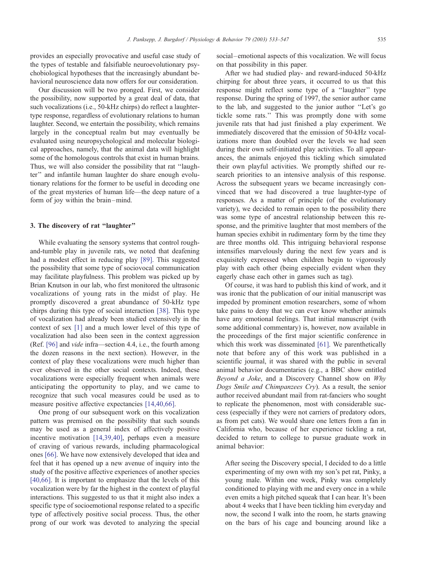provides an especially provocative and useful case study of the types of testable and falsifiable neuroevolutionary psychobiological hypotheses that the increasingly abundant behavioral neuroscience data now offers for our consideration.

Our discussion will be two pronged. First, we consider the possibility, now supported by a great deal of data, that such vocalizations (i.e., 50-kHz chirps) do reflect a laughtertype response, regardless of evolutionary relations to human laughter. Second, we entertain the possibility, which remains largely in the conceptual realm but may eventually be evaluated using neuropsychological and molecular biological approaches, namely, that the animal data will highlight some of the homologous controls that exist in human brains. Thus, we will also consider the possibility that rat ''laughter'' and infantile human laughter do share enough evolutionary relations for the former to be useful in decoding one of the great mysteries of human life—the deep nature of a form of joy within the brain–mind.

## 3. The discovery of rat ''laughter''

While evaluating the sensory systems that control roughand-tumble play in juvenile rats, we noted that deafening had a modest effect in reducing play [\[89\].](#page-14-0) This suggested the possibility that some type of sociovocal communication may facilitate playfulness. This problem was picked up by Brian Knutson in our lab, who first monitored the ultrasonic vocalizations of young rats in the midst of play. He promptly discovered a great abundance of 50-kHz type chirps during this type of social interaction [\[38\].](#page-13-0) This type of vocalization had already been studied extensively in the context of sex [\[1\]](#page-12-0) and a much lower level of this type of vocalization had also been seen in the context aggression (Ref. [\[96\]](#page-14-0) and vide infra—section 4.4, i.e., the fourth among the dozen reasons in the next section). However, in the context of play these vocalizations were much higher than ever observed in the other social contexts. Indeed, these vocalizations were especially frequent when animals were anticipating the opportunity to play, and we came to recognize that such vocal measures could be used as to measure positive affective expectancies [\[14,40,66\].](#page-12-0)

One prong of our subsequent work on this vocalization pattern was premised on the possibility that such sounds may be used as a general index of affectively positive incentive motivation [\[14,39,40\],](#page-12-0) perhaps even a measure of craving of various rewards, including pharmacological ones [\[66\].](#page-13-0) We have now extensively developed that idea and feel that it has opened up a new avenue of inquiry into the study of the positive affective experiences of another species [\[40,66\].](#page-13-0) It is important to emphasize that the levels of this vocalization were by far the highest in the context of playful interactions. This suggested to us that it might also index a specific type of socioemotional response related to a specific type of affectively positive social process. Thus, the other prong of our work was devoted to analyzing the special

social–emotional aspects of this vocalization. We will focus on that possibility in this paper.

After we had studied play- and reward-induced 50-kHz chirping for about three years, it occurred to us that this response might reflect some type of a ''laughter'' type response. During the spring of 1997, the senior author came to the lab, and suggested to the junior author ''Let's go tickle some rats.'' This was promptly done with some juvenile rats that had just finished a play experiment. We immediately discovered that the emission of 50-kHz vocalizations more than doubled over the levels we had seen during their own self-initiated play activities. To all appearances, the animals enjoyed this tickling which simulated their own playful activities. We promptly shifted our research priorities to an intensive analysis of this response. Across the subsequent years we became increasingly convinced that we had discovered a true laughter-type of responses. As a matter of principle (of the evolutionary variety), we decided to remain open to the possibility there was some type of ancestral relationship between this response, and the primitive laughter that most members of the human species exhibit in rudimentary form by the time they are three months old. This intriguing behavioral response intensifies marvelously during the next few years and is exquisitely expressed when children begin to vigorously play with each other (being especially evident when they eagerly chase each other in games such as tag).

Of course, it was hard to publish this kind of work, and it was ironic that the publication of our initial manuscript was impeded by prominent emotion researchers, some of whom take pains to deny that we can ever know whether animals have any emotional feelings. That initial manuscript (with some additional commentary) is, however, now available in the proceedings of the first major scientific conference in which this work was disseminated [\[61\].](#page-13-0) We parenthetically note that before any of this work was published in a scientific journal, it was shared with the public in several animal behavior documentaries (e.g., a BBC show entitled Beyond a Joke, and a Discovery Channel show on Why Dogs Smile and Chimpanzees Cry). As a result, the senior author received abundant mail from rat-fanciers who sought to replicate the phenomenon, most with considerable success (especially if they were not carriers of predatory odors, as from pet cats). We would share one letters from a fan in California who, because of her experience tickling a rat, decided to return to college to pursue graduate work in animal behavior:

After seeing the Discovery special, I decided to do a little experimenting of my own with my son's pet rat, Pinky, a young male. Within one week, Pinky was completely conditioned to playing with me and every once in a while even emits a high pitched squeak that I can hear. It's been about 4 weeks that I have been tickling him everyday and now, the second I walk into the room, he starts gnawing on the bars of his cage and bouncing around like a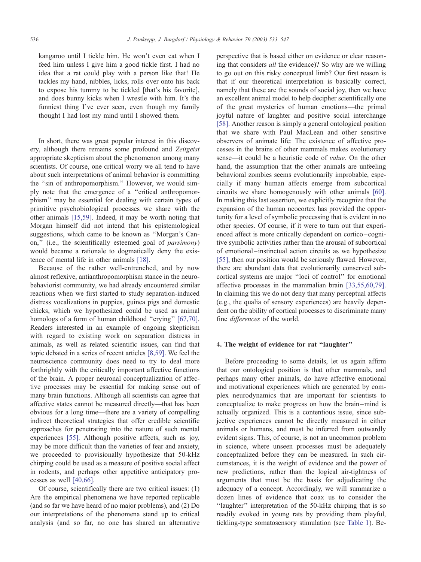kangaroo until I tickle him. He won't even eat when I feed him unless I give him a good tickle first. I had no idea that a rat could play with a person like that! He tackles my hand, nibbles, licks, rolls over onto his back to expose his tummy to be tickled [that's his favorite], and does bunny kicks when I wrestle with him. It's the funniest thing I've ever seen, even though my family thought I had lost my mind until I showed them.

In short, there was great popular interest in this discovery, although there remains some profound and Zeitgeist appropriate skepticism about the phenomenon among many scientists. Of course, one critical worry we all tend to have about such interpretations of animal behavior is committing the ''sin of anthropomorphism.'' However, we would simply note that the emergence of a ''critical anthropomorphism'' may be essential for dealing with certain types of primitive psychobiological processes we share with the other animals [\[15,59\].](#page-12-0) Indeed, it may be worth noting that Morgan himself did not intend that his epistemological suggestions, which came to be known as ''Morgan's Canon,'' (i.e., the scientifically esteemed goal of parsimony) would became a rationale to dogmatically deny the existence of mental life in other animals [\[18\].](#page-12-0)

Because of the rather well-entrenched, and by now almost reflexive, antianthropomorphism stance in the neurobehaviorist community, we had already encountered similar reactions when we first started to study separation-induced distress vocalizations in puppies, guinea pigs and domestic chicks, which we hypothesized could be used as animal homologs of a form of human childhood "crying" [\[67,70\].](#page-13-0) Readers interested in an example of ongoing skepticism with regard to existing work on separation distress in animals, as well as related scientific issues, can find that topic debated in a series of recent articles [\[8,59\].](#page-12-0) We feel the neuroscience community does need to try to deal more forthrightly with the critically important affective functions of the brain. A proper neuronal conceptualization of affective processes may be essential for making sense out of many brain functions. Although all scientists can agree that affective states cannot be measured directly—that has been obvious for a long time—there are a variety of compelling indirect theoretical strategies that offer credible scientific approaches for penetrating into the nature of such mental experiences [\[55\].](#page-13-0) Although positive affects, such as joy, may be more difficult than the varieties of fear and anxiety, we proceeded to provisionally hypothesize that 50-kHz chirping could be used as a measure of positive social affect in rodents, and perhaps other appetitive anticipatory processes as well [\[40,66\].](#page-13-0)

Of course, scientifically there are two critical issues: (1) Are the empirical phenomena we have reported replicable (and so far we have heard of no major problems), and (2) Do our interpretations of the phenomena stand up to critical analysis (and so far, no one has shared an alternative

perspective that is based either on evidence or clear reasoning that considers all the evidence)? So why are we willing to go out on this risky conceptual limb? Our first reason is that if our theoretical interpretation is basically correct, namely that these are the sounds of social joy, then we have an excellent animal model to help decipher scientifically one of the great mysteries of human emotions—the primal joyful nature of laughter and positive social interchange [\[58\].](#page-13-0) Another reason is simply a general ontological position that we share with Paul MacLean and other sensitive observers of animate life: The existence of affective processes in the brains of other mammals makes evolutionary sense—it could be a heuristic code of value. On the other hand, the assumption that the other animals are unfeeling behavioral zombies seems evolutionarily improbable, especially if many human affects emerge from subcortical circuits we share homogenously with other animals [\[60\].](#page-13-0) In making this last assertion, we explicitly recognize that the expansion of the human neocortex has provided the opportunity for a level of symbolic processing that is evident in no other species. Of course, if it were to turn out that experienced affect is more critically dependent on cortico–cognitive symbolic activities rather than the arousal of subcortical of emotional–instinctual action circuits as we hypothesize [\[55\],](#page-13-0) then our position would be seriously flawed. However, there are abundant data that evolutionarily conserved subcortical systems are major ''loci of control'' for emotional affective processes in the mammalian brain [\[33,55,60,79\].](#page-12-0) In claiming this we do not deny that many perceptual affects (e.g., the qualia of sensory experiences) are heavily dependent on the ability of cortical processes to discriminate many fine differences of the world.

#### 4. The weight of evidence for rat ''laughter''

Before proceeding to some details, let us again affirm that our ontological position is that other mammals, and perhaps many other animals, do have affective emotional and motivational experiences which are generated by complex neurodynamics that are important for scientists to conceptualize to make progress on how the brain–mind is actually organized. This is a contentious issue, since subjective experiences cannot be directly measured in either animals or humans, and must be inferred from outwardly evident signs. This, of course, is not an uncommon problem in science, where unseen processes must be adequately conceptualized before they can be measured. In such circumstances, it is the weight of evidence and the power of new predictions, rather than the logical air-tightness of arguments that must be the basis for adjudicating the adequacy of a concept. Accordingly, we will summarize a dozen lines of evidence that coax us to consider the ''laughter'' interpretation of the 50-kHz chirping that is so readily evoked in young rats by providing them playful, tickling-type somatosensory stimulation (see [Table](#page-4-0) 1). Be-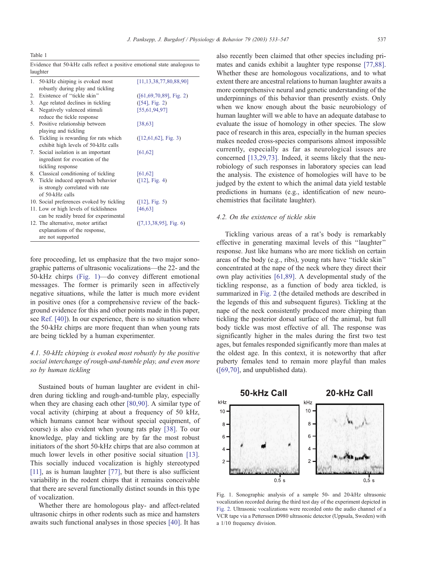<span id="page-4-0"></span>

| ×<br>× | P.<br>×<br>۰ |  |
|--------|--------------|--|
|        |              |  |

| laughter |                                                                                             |                              |
|----------|---------------------------------------------------------------------------------------------|------------------------------|
|          | 1. 50-kHz chirping is evoked most<br>robustly during play and tickling                      | [11, 13, 38, 77, 80, 88, 90] |
| 2.       | Existence of "tickle skin"                                                                  | ([61, 69, 70, 89], Fig. 2)   |
| 3.       | Age related declines in tickling                                                            | ([54], Fig. 2)               |
| 4.       | Negatively valenced stimuli<br>reduce the tickle response                                   | [55,61,94,97]                |
| 5.       | Positive relationship between<br>playing and tickling                                       | [38, 63]                     |
|          | 6. Tickling is rewarding for rats which<br>exhibit high levels of 50-kHz calls              | ([12, 61, 62], Fig. 3)       |
|          | 7. Social isolation is an important<br>ingredient for evocation of the<br>tickling response | [61, 62]                     |
|          | 8. Classical conditioning of tickling                                                       | [61, 62]                     |
|          | 9. Tickle induced approach behavior<br>is strongly correlated with rate<br>of 50-kHz calls  | $(12]$ , Fig. 4)             |
|          | 10. Social preferences evoked by tickling                                                   | ([12], Fig. 5)               |
|          | 11. Low or high levels of ticklishness<br>can be readily breed for experimental             | [46, 63]                     |
|          | 12. The alternative, motor artifact<br>explanations of the response,<br>are not supported   | ([7, 13, 38, 95], Fig. 6)    |

Evidence that 50-kHz calls reflect a positive emotional state analogous to

fore proceeding, let us emphasize that the two major sonographic patterns of ultrasonic vocalizations—the 22- and the 50-kHz chirps (Fig. 1)—do convey different emotional messages. The former is primarily seen in affectively negative situations, while the latter is much more evident in positive ones (for a comprehensive review of the background evidence for this and other points made in this paper, see Ref. [\[40\]\)](#page-13-0). In our experience, there is no situation where the 50-kHz chirps are more frequent than when young rats are being tickled by a human experimenter.

# 4.1. 50-kHz chirping is evoked most robustly by the positive social interchange of rough-and-tumble play, and even more so by human tickling

Sustained bouts of human laughter are evident in children during tickling and rough-and-tumble play, especially when they are chasing each other [\[80,90\].](#page-13-0) A similar type of vocal activity (chirping at about a frequency of 50 kHz, which humans cannot hear without special equipment, of course) is also evident when young rats play [\[38\].](#page-13-0) To our knowledge, play and tickling are by far the most robust initiators of the short 50-kHz chirps that are also common at much lower levels in other positive social situation [\[13\].](#page-12-0) This socially induced vocalization is highly stereotyped [\[11\],](#page-12-0) as is human laughter [\[77\],](#page-13-0) but there is also sufficient variability in the rodent chirps that it remains conceivable that there are several functionally distinct sounds in this type of vocalization.

Whether there are homologous play- and affect-related ultrasonic chirps in other rodents such as mice and hamsters awaits such functional analyses in those species [\[40\].](#page-13-0) It has also recently been claimed that other species including primates and canids exhibit a laughter type response [\[77,88\].](#page-13-0) Whether these are homologous vocalizations, and to what extent there are ancestral relations to human laughter awaits a more comprehensive neural and genetic understanding of the underpinnings of this behavior than presently exists. Only when we know enough about the basic neurobiology of human laughter will we able to have an adequate database to evaluate the issue of homology in other species. The slow pace of research in this area, especially in the human species makes needed cross-species comparisons almost impossible currently, especially as far as neurological issues are concerned [\[13,29,73\].](#page-12-0) Indeed, it seems likely that the neurobiology of such responses in laboratory species can lead the analysis. The existence of homologies will have to be judged by the extent to which the animal data yield testable predictions in humans (e.g., identification of new neurochemistries that facilitate laughter).

#### 4.2. On the existence of tickle skin

Tickling various areas of a rat's body is remarkably effective in generating maximal levels of this ''laughter'' response. Just like humans who are more ticklish on certain areas of the body (e.g., ribs), young rats have ''tickle skin'' concentrated at the nape of the neck where they direct their own play activities [\[61,89\].](#page-13-0) A developmental study of the tickling response, as a function of body area tickled, is summarized in [Fig.](#page-5-0) 2 (the detailed methods are described in the legends of this and subsequent figures). Tickling at the nape of the neck consistently produced more chirping than tickling the posterior dorsal surface of the animal, but full body tickle was most effective of all. The response was significantly higher in the males during the first two test ages, but females responded significantly more than males at the oldest age. In this context, it is noteworthy that after puberty females tend to remain more playful than males ([\[69,70\],](#page-13-0) and unpublished data).



Fig. 1. Sonographic analysis of a sample 50- and 20-kHz ultrasonic vocalization recorded during the third test day of the experiment depicted in [Fig.](#page-5-0) 2. Ultrasonic vocalizations were recorded onto the audio channel of a VCR tape via a Petterssen D980 ultrasonic detector (Uppsala, Sweden) with a 1/10 frequency division.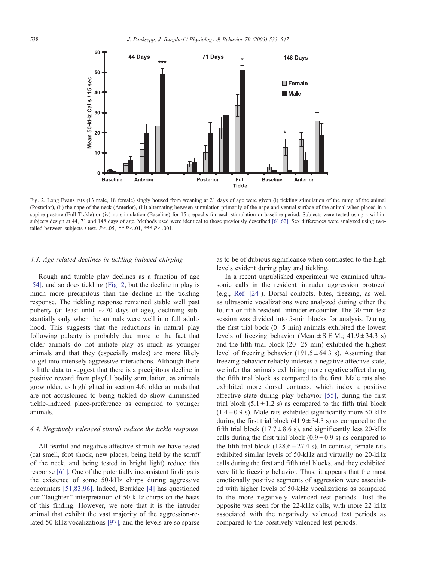<span id="page-5-0"></span>

Fig. 2. Long Evans rats (13 male, 18 female) singly housed from weaning at 21 days of age were given (i) tickling stimulation of the rump of the animal (Posterior), (ii) the nape of the neck (Anterior), (iii) alternating between stimulation primarily of the nape and ventral surface of the animal when placed in a supine posture (Full Tickle) or (iv) no stimulation (Baseline) for 15-s epochs for each stimulation or baseline period. Subjects were tested using a within-subjects design at 44, 71 and 148 days of age. Methods used were identical to those previously described [\[61,62\].](#page-13-0) Sex differences were analyzed using twotailed between-subjects t test.  $P < .05$ , \*\* $P < .01$ , \*\*\* $P < .001$ .

#### 4.3. Age-related declines in tickling-induced chirping

Rough and tumble play declines as a function of age [\[54\],](#page-13-0) and so does tickling (Fig. 2, but the decline in play is much more precipitous than the decline in the tickling response. The tickling response remained stable well past puberty (at least until  $\sim$  70 days of age), declining substantially only when the animals were well into full adulthood. This suggests that the reductions in natural play following puberty is probably due more to the fact that older animals do not initiate play as much as younger animals and that they (especially males) are more likely to get into intensely aggressive interactions. Although there is little data to suggest that there is a precipitous decline in positive reward from playful bodily stimulation, as animals grow older, as highlighted in section 4.6, older animals that are not accustomed to being tickled do show diminished tickle-induced place-preference as compared to younger animals.

## 4.4. Negatively valenced stimuli reduce the tickle response

All fearful and negative affective stimuli we have tested (cat smell, foot shock, new places, being held by the scruff of the neck, and being tested in bright light) reduce this response [\[61\]](#page-13-0). One of the potentially inconsistent findings is the existence of some 50-kHz chirps during aggressive encounters [\[51,83,96\].](#page-13-0) Indeed, Berridge [\[4\]](#page-12-0) has questioned our ''laughter'' interpretation of 50-kHz chirps on the basis of this finding. However, we note that it is the intruder animal that exhibit the vast majority of the aggression-related 50-kHz vocalizations [\[97\],](#page-14-0) and the levels are so sparse as to be of dubious significance when contrasted to the high levels evident during play and tickling.

In a recent unpublished experiment we examined ultrasonic calls in the resident–intruder aggression protocol (e.g., Ref. [\[24\]\)](#page-12-0). Dorsal contacts, bites, freezing, as well as ultrasonic vocalizations were analyzed during either the fourth or fifth resident–intruder encounter. The 30-min test session was divided into 5-min blocks for analysis. During the first trial bock  $(0-5 \text{ min})$  animals exhibited the lowest levels of freezing behavior (Mean  $\pm$  S.E.M.; 41.9  $\pm$  34.3 s) and the fifth trial block  $(20-25 \text{ min})$  exhibited the highest level of freezing behavior (191.5  $\pm$  64.3 s). Assuming that freezing behavior reliably indexes a negative affective state, we infer that animals exhibiting more negative affect during the fifth trial block as compared to the first. Male rats also exhibited more dorsal contacts, which index a positive affective state during play behavior [\[55\],](#page-13-0) during the first trial block  $(5.1 \pm 1.2 \text{ s})$  as compared to the fifth trial block  $(1.4 \pm 0.9 \text{ s})$ . Male rats exhibited significantly more 50-kHz during the first trial block  $(41.9 \pm 34.3 \text{ s})$  as compared to the fifth trial block (17.7  $\pm$  8.6 s), and significantly less 20-kHz calls during the first trial block  $(0.9 \pm 0.9 \text{ s})$  as compared to the fifth trial block  $(128.6 \pm 27.4 \text{ s})$ . In contrast, female rats exhibited similar levels of 50-kHz and virtually no 20-kHz calls during the first and fifth trial blocks, and they exhibited very little freezing behavior. Thus, it appears that the most emotionally positive segments of aggression were associated with higher levels of 50-kHz vocalizations as compared to the more negatively valenced test periods. Just the opposite was seen for the 22-kHz calls, with more 22 kHz associated with the negatively valenced test periods as compared to the positively valenced test periods.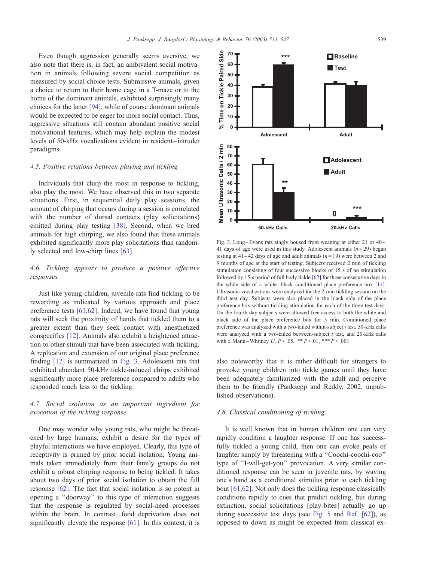<span id="page-6-0"></span>Even though aggression generally seems aversive, we also note that there is, in fact, an ambivalent social motivation in animals following severe social competition as measured by social choice tests. Submissive animals, given a choice to return to their home cage in a T-maze or to the home of the dominant animals, exhibited surprisingly many choices for the latter [\[94\],](#page-14-0) while of course dominant animals would be expected to be eager for more social contact. Thus, aggressive situations still contain abundant positive social motivational features, which may help explain the modest levels of 50-kHz vocalizations evident in resident–intruder paradigms.

#### 4.5. Positive relations between playing and tickling

Individuals that chirp the most in response to tickling, also play the most. We have observed this in two separate situations. First, in sequential daily play sessions, the amount of chirping that occurs during a session is correlated with the number of dorsal contacts (play solicitations) emitted during play testing [\[38\].](#page-13-0) Second, when we bred animals for high chirping, we also found that these animals exhibited significantly more play solicitations than randomly selected and low-chirp lines [\[63\].](#page-13-0)

# 4.6. Tickling appears to produce a positive affective responses

Just like young children, juvenile rats find tickling to be rewarding as indicated by various approach and place preference tests [\[61,62\].](#page-13-0) Indeed, we have found that young rats will seek the proximity of hands that tickled them to a greater extent than they seek contact with anesthetized conspecifics [\[12\].](#page-12-0) Animals also exhibit a heightened attraction to other stimuli that have been associated with tickling. A replication and extension of our original place preference finding [\[12\]](#page-12-0) is summarized in Fig. 3. Adolescent rats that exhibited abundant 50-kHz tickle-induced chirps exhibited significantly more place preference compared to adults who responded much less to the tickling.

# 4.7. Social isolation as an important ingredient for evocation of the tickling response

One may wonder why young rats, who might be threatened by large humans, exhibit a desire for the types of playful interactions we have employed. Clearly, this type of receptivity is primed by prior social isolation. Young animals taken immediately from their family groups do not exhibit a robust chirping response to being tickled. It takes about two days of prior social isolation to obtain the full response [\[62\].](#page-13-0) The fact that social isolation is so potent in opening a ''doorway'' to this type of interaction suggests that the response is regulated by social-need processes within the brain. In contrast, food deprivation does not significantly elevate the response [\[61\].](#page-13-0) In this context, it is



Fig. 3. Long–Evans rats singly housed from weaning at either 21 or 40– 41 days of age were used in this study. Adolescent animals  $(n=29)$  began testing at 41–42 days of age and adult animals  $(n = 19)$  were between 2 and 9 months of age at the start of testing. Subjects received 2 min of tickling stimulation consisting of four successive blocks of 15 s of no stimulation followed by 15-s period of full body tickle [\[62\]](#page-13-0) for three consecutive days in the white side of a white–black conditioned place preference box [\[14\].](#page-12-0) Ultrasonic vocalizations were analyzed for the 2-min tickling session on the third test day. Subjects were also placed in the black side of the place preference box without tickling stimulation for each of the three test days. On the fourth day subjects were allowed free access to both the white and black side of the place preference box for 5 min. Conditioned place preference was analyzed with a two-tailed within-subject  $t$  test. 50-kHz calls were analyzed with a two-tailed between-subject  $t$  test, and 20-kHz calls with a Mann–Whitney U.  $P < 0.05$ , \*\*  $P < 0.01$ , \*\*\*  $P < 0.001$ .

also noteworthy that it is rather difficult for strangers to provoke young children into tickle games until they have been adequately familiarized with the adult and perceive them to be friendly (Panksepp and Reddy, 2002, unpublished observations).

#### 4.8. Classical conditioning of tickling

It is well known that in human children one can very rapidly condition a laughter response. If one has successfully tickled a young child, then one can evoke peals of laughter simply by threatening with a "Coochi-coochi-coo" type of ''I-will-get-you'' provocation. A very similar conditioned response can be seen in juvenile rats, by waving one's hand as a conditional stimulus prior to each tickling bout [\[61,62\].](#page-13-0) Not only does the tickling response classically conditions rapidly to cues that predict tickling, but during extinction, social solicitations [play-bites] actually go up during successive test days (see [Fig.](#page-7-0) 5 and Ref. [\[62\]\)](#page-13-0), as opposed to down as might be expected from classical ex-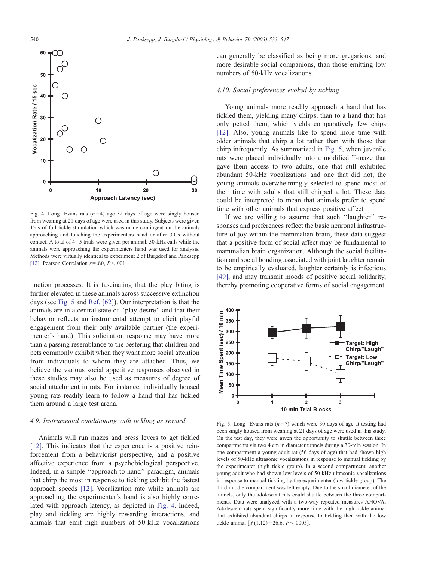<span id="page-7-0"></span>

Fig. 4. Long–Evans rats  $(n=4)$  age 32 days of age were singly housed from weaning at 21 days of age were used in this study. Subjects were given 15 s of full tickle stimulation which was made contingent on the animals approaching and touching the experimenters hand or after 30 s without contact. A total of  $4-5$  trials were given per animal.  $50-kHz$  calls while the animals were approaching the experimenters hand was used for analysis. Methods were virtually identical to experiment 2 of Burgdorf and Panksepp [\[12\].](#page-12-0) Pearson Correlation  $r = .80$ ,  $P < .001$ .

tinction processes. It is fascinating that the play biting is further elevated in these animals across successive extinction days (see Fig. 5 and [Ref.](#page-13-0) [62]). Our interpretation is that the animals are in a central state of ''play desire'' and that their behavior reflects an instrumental attempt to elicit playful engagement from their only available partner (the experimenter's hand). This solicitation response may have more than a passing resemblance to the pestering that children and pets commonly exhibit when they want more social attention from individuals to whom they are attached. Thus, we believe the various social appetitive responses observed in these studies may also be used as measures of degree of social attachment in rats. For instance, individually housed young rats readily learn to follow a hand that has tickled them around a large test arena.

## 4.9. Instrumental conditioning with tickling as reward

Animals will run mazes and press levers to get tickled [\[12\].](#page-12-0) This indicates that the experience is a positive reinforcement from a behaviorist perspective, and a positive affective experience from a psychobiological perspective. Indeed, in a simple ''approach-to-hand'' paradigm, animals that chirp the most in response to tickling exhibit the fastest approach speeds [\[12\].](#page-12-0) Vocalization rate while animals are approaching the experimenter's hand is also highly correlated with approach latency, as depicted in Fig. 4. Indeed, play and tickling are highly rewarding interactions, and animals that emit high numbers of 50-kHz vocalizations

can generally be classified as being more gregarious, and more desirable social companions, than those emitting low numbers of 50-kHz vocalizations.

## 4.10. Social preferences evoked by tickling

Young animals more readily approach a hand that has tickled them, yielding many chirps, than to a hand that has only petted them, which yields comparatively few chips [\[12\].](#page-12-0) Also, young animals like to spend more time with older animals that chirp a lot rather than with those that chirp infrequently. As summarized in Fig. 5, when juvenile rats were placed individually into a modified T-maze that gave them access to two adults, one that still exhibited abundant 50-kHz vocalizations and one that did not, the young animals overwhelmingly selected to spend most of their time with adults that still chirped a lot. These data could be interpreted to mean that animals prefer to spend time with other animals that express positive affect.

If we are willing to assume that such ''laughter'' responses and preferences reflect the basic neuronal infrastructure of joy within the mammalian brain, these data suggest that a positive form of social affect may be fundamental to mammalian brain organization. Although the social facilitation and social bonding associated with joint laughter remain to be empirically evaluated, laughter certainly is infectious [\[49\],](#page-13-0) and may transmit moods of positive social solidarity, thereby promoting cooperative forms of social engagement.



Fig. 5. Long–Evans rats  $(n=7)$  which were 30 days of age at testing had been singly housed from weaning at 21 days of age were used in this study. On the test day, they were given the opportunity to shuttle between three compartments via two 4 cm in diameter tunnels during a 30-min session. In one compartment a young adult rat (56 days of age) that had shown high levels of 50-kHz ultrasonic vocalizations in response to manual tickling by the experimenter (high tickle group). In a second compartment, another young adult who had shown low levels of 50-kHz ultrasonic vocalizations in response to manual tickling by the experimenter (low tickle group). The third middle compartment was left empty. Due to the small diameter of the tunnels, only the adolescent rats could shuttle between the three compartments. Data were analyzed with a two-way repeated measures ANOVA. Adolescent rats spent significantly more time with the high tickle animal that exhibited abundant chirps in response to tickling then with the low tickle animal  $[F(1,12)=26.6, P<.0005]$ .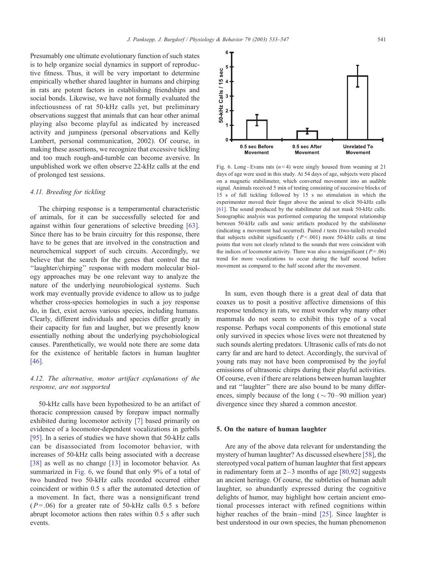<span id="page-8-0"></span>Presumably one ultimate evolutionary function of such states is to help organize social dynamics in support of reproductive fitness. Thus, it will be very important to determine empirically whether shared laughter in humans and chirping in rats are potent factors in establishing friendships and social bonds. Likewise, we have not formally evaluated the infectiousness of rat 50-kHz calls yet, but preliminary observations suggest that animals that can hear other animal playing also become playful as indicated by increased activity and jumpiness (personal observations and Kelly Lambert, personal communication, 2002). Of course, in making these assertions, we recognize that excessive tickling and too much rough-and-tumble can become aversive. In unpublished work we often observe 22-kHz calls at the end of prolonged test sessions.

#### 4.11. Breeding for tickling

The chirping response is a temperamental characteristic of animals, for it can be successfully selected for and against within four generations of selective breeding [\[63\].](#page-13-0) Since there has to be brain circuitry for this response, there have to be genes that are involved in the construction and neurochemical support of such circuits. Accordingly, we believe that the search for the genes that control the rat ''laughter/chirping'' response with modern molecular biology approaches may be one relevant way to analyze the nature of the underlying neurobiological systems. Such work may eventually provide evidence to allow us to judge whether cross-species homologies in such a joy response do, in fact, exist across various species, including humans. Clearly, different individuals and species differ greatly in their capacity for fun and laugher, but we presently know essentially nothing about the underlying psychobiological causes. Parenthetically, we would note there are some data for the existence of heritable factors in human laughter [\[46\].](#page-13-0)

# 4.12. The alternative, motor artifact explanations of the response, are not supported

50-kHz calls have been hypothesized to be an artifact of thoracic compression caused by forepaw impact normally exhibited during locomotor activity [\[7\]](#page-12-0) based primarily on evidence of a locomotor-dependent vocalizations in gerbils [\[95\].](#page-14-0) In a series of studies we have shown that 50-kHz calls can be disassociated from locomotor behavior, with increases of 50-kHz calls being associated with a decrease [\[38\]](#page-13-0) as well as no change [\[13\]](#page-12-0) in locomotor behavior. As summarized in Fig. 6, we found that only 9% of a total of two hundred two 50-kHz calls recorded occurred either coincident or within 0.5 s after the automated detection of a movement. In fact, there was a nonsignificant trend  $(P=.06)$  for a greater rate of 50-kHz calls 0.5 s before abrupt locomotor actions then rates within 0.5 s after such events.



In sum, even though there is a great deal of data that coaxes us to posit a positive affective dimensions of this response tendency in rats, we must wonder why many other mammals do not seem to exhibit this type of a vocal response. Perhaps vocal components of this emotional state only survived in species whose lives were not threatened by such sounds alerting predators. Ultrasonic calls of rats do not carry far and are hard to detect. Accordingly, the survival of young rats may not have been compromised by the joyful emissions of ultrasonic chirps during their playful activities. Of course, even if there are relations between human laughter and rat ''laughter'' there are also bound to be many differences, simply because of the long ( $\sim$  70–90 million year) divergence since they shared a common ancestor.

## 5. On the nature of human laughter

Are any of the above data relevant for understanding the mystery of human laughter? As discussed elsewhere [\[58\],](#page-13-0) the stereotyped vocal pattern of human laughter that first appears in rudimentary form at  $2-3$  months of age [\[80,92\]](#page-13-0) suggests an ancient heritage. Of course, the subtleties of human adult laughter, so abundantly expressed during the cognitive delights of humor, may highlight how certain ancient emotional processes interact with refined cognitions within higher reaches of the brain–mind [\[25\].](#page-12-0) Since laughter is best understood in our own species, the human phenomenon

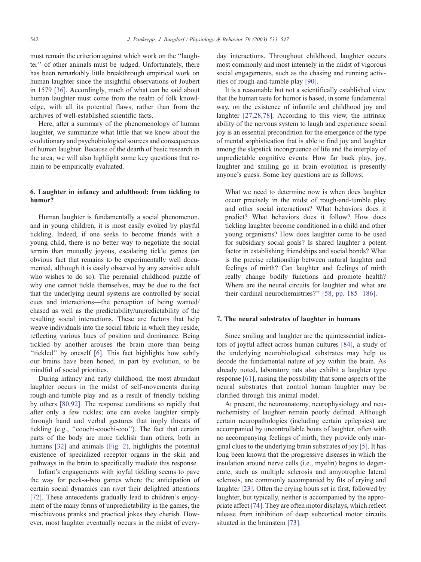must remain the criterion against which work on the ''laughter'' of other animals must be judged. Unfortunately, there has been remarkably little breakthrough empirical work on human laughter since the insightful observations of Joubert in 1579 [\[36\].](#page-13-0) Accordingly, much of what can be said about human laughter must come from the realm of folk knowledge, with all its potential flaws, rather than from the archives of well-established scientific facts.

Here, after a summary of the phenomenology of human laughter, we summarize what little that we know about the evolutionary and psychobiological sources and consequences of human laughter. Because of the dearth of basic research in the area, we will also highlight some key questions that remain to be empirically evaluated.

# 6. Laughter in infancy and adulthood: from tickling to humor?

Human laughter is fundamentally a social phenomenon, and in young children, it is most easily evoked by playful tickling. Indeed, if one seeks to become friends with a young child, there is no better way to negotiate the social terrain than mutually joyous, escalating tickle games (an obvious fact that remains to be experimentally well documented, although it is easily observed by any sensitive adult who wishes to do so). The perennial childhood puzzle of why one cannot tickle themselves, may be due to the fact that the underlying neural systems are controlled by social cues and interactions—the perception of being wanted/ chased as well as the predictability/unpredictability of the resulting social interactions. These are factors that help weave individuals into the social fabric in which they reside, reflecting various hues of position and dominance. Being tickled by another arouses the brain more than being ''tickled'' by oneself [\[6\].](#page-12-0) This fact highlights how subtly our brains have been honed, in part by evolution, to be mindful of social priorities.

During infancy and early childhood, the most abundant laughter occurs in the midst of self-movements during rough-and-tumble play and as a result of friendly tickling by others [\[80,92\].](#page-13-0) The response conditions so rapidly that after only a few tickles; one can evoke laughter simply through hand and verbal gestures that imply threats of tickling (e.g., ''coochi-coochi-coo''). The fact that certain parts of the body are more ticklish than others, both in humans [\[32\]](#page-12-0) and animals [\(Fig.](#page-5-0) 2), highlights the potential existence of specialized receptor organs in the skin and pathways in the brain to specifically mediate this response.

Infant's engagements with joyful tickling seems to pave the way for peek-a-boo games where the anticipation of certain social dynamics can rivet their delighted attentions [\[72\].](#page-13-0) These antecedents gradually lead to children's enjoyment of the many forms of unpredictability in the games, the mischievous pranks and practical jokes they cherish. However, most laughter eventually occurs in the midst of everyday interactions. Throughout childhood, laughter occurs most commonly and most intensely in the midst of vigorous social engagements, such as the chasing and running activities of rough-and-tumble play [\[90\].](#page-14-0)

It is a reasonable but not a scientifically established view that the human taste for humor is based, in some fundamental way, on the existence of infantile and childhood joy and laughter [\[27,28,78\].](#page-12-0) According to this view, the intrinsic ability of the nervous system to laugh and experience social joy is an essential precondition for the emergence of the type of mental sophistication that is able to find joy and laughter among the slapstick incongruence of life and the interplay of unpredictable cognitive events. How far back play, joy, laughter and smiling go in brain evolution is presently anyone's guess. Some key questions are as follows:

What we need to determine now is when does laughter occur precisely in the midst of rough-and-tumble play and other social interactions? What behaviors does it predict? What behaviors does it follow? How does tickling laughter become conditioned in a child and other young organisms? How does laughter come to be used for subsidiary social goals? Is shared laughter a potent factor in establishing friendships and social bonds? What is the precise relationship between natural laughter and feelings of mirth? Can laughter and feelings of mirth really change bodily functions and promote health? Where are the neural circuits for laughter and what are their cardinal neurochemistries?'' [58, pp. [185–186\].](#page-13-0)

# 7. The neural substrates of laughter in humans

Since smiling and laughter are the quintessential indicators of joyful affect across human cultures [\[84\],](#page-14-0) a study of the underlying neurobiological substrates may help us decode the fundamental nature of joy within the brain. As already noted, laboratory rats also exhibit a laughter type response [\[61\],](#page-13-0) raising the possibility that some aspects of the neural substrates that control human laughter may be clarified through this animal model.

At present, the neuroanatomy, neurophysiology and neurochemistry of laughter remain poorly defined. Although certain neuropathologies (including certain epilepsies) are accompanied by uncontrollable bouts of laughter, often with no accompanying feelings of mirth, they provide only marginal clues to the underlying brain substrates of joy [\[5\].](#page-12-0) It has long been known that the progressive diseases in which the insulation around nerve cells (i.e., myelin) begins to degenerate, such as multiple sclerosis and amyotrophic lateral sclerosis, are commonly accompanied by fits of crying and laughter [\[23\].](#page-12-0) Often the crying bouts set in first, followed by laughter, but typically, neither is accompanied by the appropriate affect [\[74\].](#page-13-0) They are often motor displays, which reflect release from inhibition of deep subcortical motor circuits situated in the brainstem [\[73\].](#page-13-0)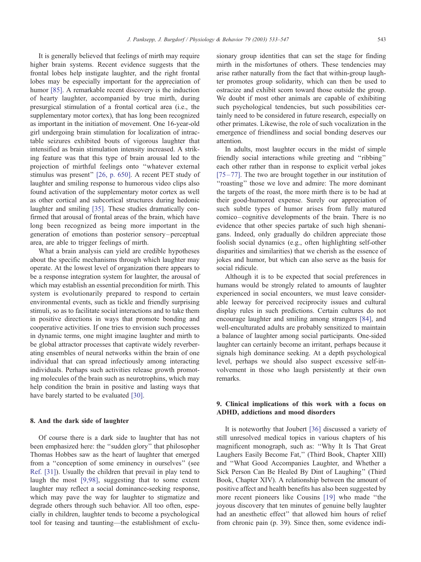It is generally believed that feelings of mirth may require higher brain systems. Recent evidence suggests that the frontal lobes help instigate laughter, and the right frontal lobes may be especially important for the appreciation of humor [\[85\].](#page-14-0) A remarkable recent discovery is the induction of hearty laughter, accompanied by true mirth, during presurgical stimulation of a frontal cortical area (i.e., the supplementary motor cortex), that has long been recognized as important in the initiation of movement. One 16-year-old girl undergoing brain stimulation for localization of intractable seizures exhibited bouts of vigorous laughter that intensified as brain stimulation intensity increased. A striking feature was that this type of brain arousal led to the projection of mirthful feelings onto ''whatever external stimulus was present'' [26, p. [650\].](#page-12-0) A recent PET study of laughter and smiling response to humorous video clips also found activation of the supplementary motor cortex as well as other cortical and subcortical structures during hedonic laughter and smiling [\[35\].](#page-12-0) These studies dramatically confirmed that arousal of frontal areas of the brain, which have long been recognized as being more important in the generation of emotions than posterior sensory–perceptual area, are able to trigger feelings of mirth.

What a brain analysis can yield are credible hypotheses about the specific mechanisms through which laughter may operate. At the lowest level of organization there appears to be a response integration system for laughter, the arousal of which may establish an essential precondition for mirth. This system is evolutionarily prepared to respond to certain environmental events, such as tickle and friendly surprising stimuli, so as to facilitate social interactions and to take them in positive directions in ways that promote bonding and cooperative activities. If one tries to envision such processes in dynamic terms, one might imagine laughter and mirth to be global attractor processes that captivate widely reverberating ensembles of neural networks within the brain of one individual that can spread infectiously among interacting individuals. Perhaps such activities release growth promoting molecules of the brain such as neurotrophins, which may help condition the brain in positive and lasting ways that have barely started to be evaluated [\[30\].](#page-12-0)

## 8. And the dark side of laughter

Of course there is a dark side to laughter that has not been emphasized here: the ''sudden glory'' that philosopher Thomas Hobbes saw as the heart of laughter that emerged from a ''conception of some eminency in ourselves'' (see Ref. [\[31\]](#page-12-0)). Usually the children that prevail in play tend to laugh the most [\[9,98\],](#page-12-0) suggesting that to some extent laughter may reflect a social dominance-seeking response, which may pave the way for laughter to stigmatize and degrade others through such behavior. All too often, especially in children, laughter tends to become a psychological tool for teasing and taunting—the establishment of exclusionary group identities that can set the stage for finding mirth in the misfortunes of others. These tendencies may arise rather naturally from the fact that within-group laughter promotes group solidarity, which can then be used to ostracize and exhibit scorn toward those outside the group. We doubt if most other animals are capable of exhibiting such psychological tendencies, but such possibilities certainly need to be considered in future research, especially on other primates. Likewise, the role of such vocalization in the emergence of friendliness and social bonding deserves our attention.

In adults, most laughter occurs in the midst of simple friendly social interactions while greeting and ''ribbing'' each other rather than in response to explicit verbal jokes [\[75–77\].](#page-13-0) The two are brought together in our institution of "roasting" those we love and admire: The more dominant the targets of the roast, the more mirth there is to be had at their good-humored expense. Surely our appreciation of such subtle types of humor arises from fully matured comico–cognitive developments of the brain. There is no evidence that other species partake of such high shenanigans. Indeed, only gradually do children appreciate those foolish social dynamics (e.g., often highlighting self-other disparities and similarities) that we cherish as the essence of jokes and humor, but which can also serve as the basis for social ridicule.

Although it is to be expected that social preferences in humans would be strongly related to amounts of laughter experienced in social encounters, we must leave considerable leeway for perceived reciprocity issues and cultural display rules in such predictions. Certain cultures do not encourage laughter and smiling among strangers [\[84\],](#page-14-0) and well-enculturated adults are probably sensitized to maintain a balance of laughter among social participants. One-sided laughter can certainly become an irritant, perhaps because it signals high dominance seeking. At a depth psychological level, perhaps we should also suspect excessive self-involvement in those who laugh persistently at their own remarks.

## 9. Clinical implications of this work with a focus on ADHD, addictions and mood disorders

It is noteworthy that Joubert [\[36\]](#page-13-0) discussed a variety of still unresolved medical topics in various chapters of his magnificent monograph, such as: ''Why It Is That Great Laughers Easily Become Fat,'' (Third Book, Chapter XIII) and ''What Good Accompanies Laughter, and Whether a Sick Person Can Be Healed By Dint of Laughing'' (Third Book, Chapter XIV). A relationship between the amount of positive affect and health benefits has also been suggested by more recent pioneers like Cousins [\[19\]](#page-12-0) who made ''the joyous discovery that ten minutes of genuine belly laughter had an anesthetic effect'' that allowed him hours of relief from chronic pain (p. 39). Since then, some evidence indi-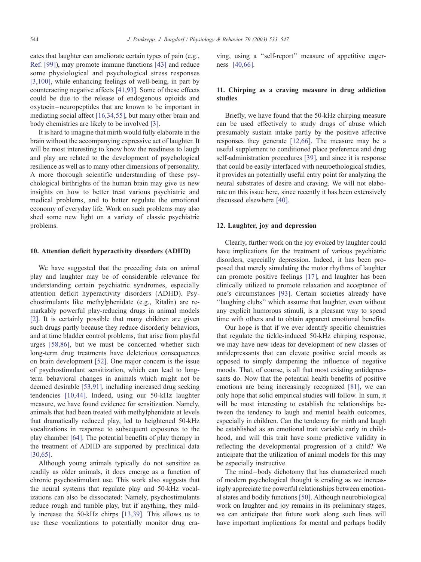cates that laughter can ameliorate certain types of pain (e.g., Ref. [\[99\]\)](#page-14-0), may promote immune functions [\[43\]](#page-13-0) and reduce some physiological and psychological stress responses [\[3,100\],](#page-12-0) while enhancing feelings of well-being, in part by counteracting negative affects [\[41,93\].](#page-13-0) Some of these effects could be due to the release of endogenous opioids and oxytocin–neuropeptides that are known to be important in mediating social affect [\[16,34,55\],](#page-12-0) but many other brain and body chemistries are likely to be involved [\[3\].](#page-12-0)

It is hard to imagine that mirth would fully elaborate in the brain without the accompanying expressive act of laughter. It will be most interesting to know how the readiness to laugh and play are related to the development of psychological resilience as well as to many other dimensions of personality. A more thorough scientific understanding of these psychological birthrights of the human brain may give us new insights on how to better treat various psychiatric and medical problems, and to better regulate the emotional economy of everyday life. Work on such problems may also shed some new light on a variety of classic psychiatric problems.

#### 10. Attention deficit hyperactivity disorders (ADHD)

We have suggested that the preceding data on animal play and laughter may be of considerable relevance for understanding certain psychiatric syndromes, especially attention deficit hyperactivity disorders (ADHD). Psychostimulants like methylphenidate (e.g., Ritalin) are remarkably powerful play-reducing drugs in animal models [\[2\].](#page-12-0) It is certainly possible that many children are given such drugs partly because they reduce disorderly behaviors, and at time bladder control problems, that arise from playful urges [\[58,86\]](#page-13-0), but we must be concerned whether such long-term drug treatments have deleterious consequences on brain development [\[52\].](#page-13-0) One major concern is the issue of psychostimulant sensitization, which can lead to longterm behavioral changes in animals which might not be deemed desirable [\[53,91\],](#page-13-0) including increased drug seeking tendencies [\[10,44\].](#page-12-0) Indeed, using our 50-kHz laughter measure, we have found evidence for sensitization. Namely, animals that had been treated with methylphenidate at levels that dramatically reduced play, led to heightened 50-kHz vocalizations in response to subsequent exposures to the play chamber [\[64\].](#page-13-0) The potential benefits of play therapy in the treatment of ADHD are supported by preclinical data [\[30,65\].](#page-12-0)

Although young animals typically do not sensitize as readily as older animals, it does emerge as a function of chronic psychostimulant use. This work also suggests that the neural systems that regulate play and 50-kHz vocalizations can also be dissociated: Namely, psychostimulants reduce rough and tumble play, but if anything, they mildly increase the 50-kHz chirps [\[13,39\].](#page-12-0) This allows us to use these vocalizations to potentially monitor drug craving, using a ''self-report'' measure of appetitive eagerness [\[40,66\].](#page-13-0)

# 11. Chirping as a craving measure in drug addiction studies

Briefly, we have found that the 50-kHz chirping measure can be used effectively to study drugs of abuse which presumably sustain intake partly by the positive affective responses they generate [\[12,66\].](#page-12-0) The measure may be a useful supplement to conditioned place preference and drug self-administration procedures [\[39\],](#page-13-0) and since it is response that could be easily interfaced with neuroethological studies, it provides an potentially useful entry point for analyzing the neural substrates of desire and craving. We will not elaborate on this issue here, since recently it has been extensively discussed elsewhere [\[40\].](#page-13-0)

## 12. Laughter, joy and depression

Clearly, further work on the joy evoked by laughter could have implications for the treatment of various psychiatric disorders, especially depression. Indeed, it has been proposed that merely simulating the motor rhythms of laughter can promote positive feelings [\[17\],](#page-12-0) and laughter has been clinically utilized to promote relaxation and acceptance of one's circumstances [\[93\].](#page-14-0) Certain societies already have ''laughing clubs'' which assume that laughter, even without any explicit humorous stimuli, is a pleasant way to spend time with others and to obtain apparent emotional benefits.

Our hope is that if we ever identify specific chemistries that regulate the tickle-induced 50-kHz chirping response, we may have new ideas for development of new classes of antidepressants that can elevate positive social moods as opposed to simply dampening the influence of negative moods. That, of course, is all that most existing antidepressants do. Now that the potential health benefits of positive emotions are being increasingly recognized [\[81\],](#page-13-0) we can only hope that solid empirical studies will follow. In sum, it will be most interesting to establish the relationships between the tendency to laugh and mental health outcomes, especially in children. Can the tendency for mirth and laugh be established as an emotional trait variable early in childhood, and will this trait have some predictive validity in reflecting the developmental progression of a child? We anticipate that the utilization of animal models for this may be especially instructive.

The mind–body dichotomy that has characterized much of modern psychological thought is eroding as we increasingly appreciate the powerful relationships between emotional states and bodily functions [\[50\].](#page-13-0) Although neurobiological work on laughter and joy remains in its preliminary stages, we can anticipate that future work along such lines will have important implications for mental and perhaps bodily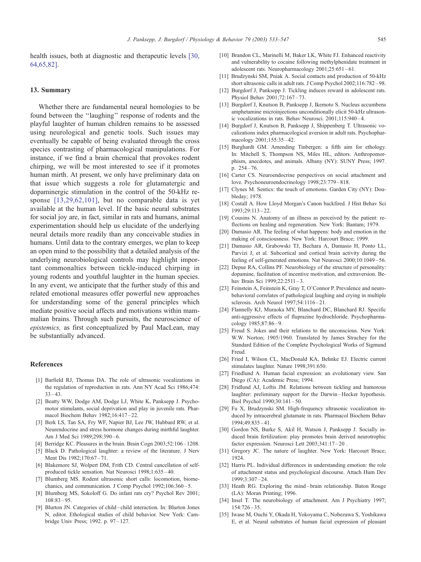<span id="page-12-0"></span>health issues, both at diagnostic and therapeutic levels [30, 64,65,82].

#### 13. Summary

Whether there are fundamental neural homologies to be found between the ''laughing'' response of rodents and the playful laughter of human children remains to be assessed using neurological and genetic tools. Such issues may eventually be capable of being evaluated through the cross species contrasting of pharmacological manipulations. For instance, if we find a brain chemical that provokes rodent chirping, we will be most interested to see if it promotes human mirth. At present, we only have preliminary data on that issue which suggests a role for glutamatergic and dopaminergic stimulation in the control of the 50-kHz response [13,29,62,101], but no comparable data is yet available at the human level. If the basic neural substrates for social joy are, in fact, similar in rats and humans, animal experimentation should help us elucidate of the underlying neural details more readily than any conceivable studies in humans. Until data to the contrary emerges, we plan to keep an open mind to the possibility that a detailed analysis of the underlying neurobiological controls may highlight important commonalties between tickle-induced chirping in young rodents and youthful laughter in the human species. In any event, we anticipate that the further study of this and related emotional measures offer powerful new approaches for understanding some of the general principles which mediate positive social affects and motivations within mammalian brains. Through such pursuits, the neuroscience of epistemics, as first conceptualized by Paul MacLean, may be substantially advanced.

#### References

- [1] Barfield RJ, Thomas DA. The role of ultrasonic vocalizations in the regulation of reproduction in rats. Ann NY Acad Sci 1986;474:  $33 - 43$
- [2] Beatty WW, Dodge AM, Dodge LJ, White K, Panksepp J. Psychomotor stimulants, social deprivation and play in juvenile rats. Pharmacol Biochem Behav 1982;16:417–22.
- [3] Berk LS, Tan SA, Fry WF, Napier BJ, Lee JW, Hubbard RW, et al. Neurendocrine and stress hormone changes during mirthful laughter. Am J Med Sci 1989;298:390-6.
- [4] Berridge KC. Pleasures in the brain. Brain Cogn 2003;52:106-1208.
- [5] Black D. Pathological laughter: a review of the literature. J Nerv Ment Dis 1982;170:67-71.
- [6] Blakemore SJ, Wolpert DM, Frith CD. Central cancellation of selfproduced tickle sensation. Nat Neurosci 1998;1:635 – 40.
- [7] Blumberg MS. Rodent ultrasonic short calls: locomotion, biomechanics, and communication. J Comp Psychol 1992;106:360-5.
- [8] Blumberg MS, Sokoloff G. Do infant rats cry? Psychol Rev 2001; 108:83– 95.
- [9] Blurton JN. Categories of child–child interaction. In: Blurton Jones N, editor. Ethological studies of child behavior. New York: Cambridge Univ Press; 1992. p. 97–127.
- [10] Brandon CL, Marinelli M, Baker LK, White FJ. Enhanced reactivity and vulnerability to cocaine following methylphenidate treatment in adolescent rats. Neuropharmacology 2001;25:651-61.
- [11] Brudzynski SM, Pniak A. Social contacts and production of 50-kHz short ultrasonic calls in adult rats. J Comp Psychol 2002;116:782-98.
- [12] Burgdorf J, Panksepp J. Tickling induces reward in adolescent rats. Physiol Behav 2001;72:167– 73.
- [13] Burgdorf J, Knutson B, Panksepp J, Ikemoto S. Nucleus accumbens amphetamine microinjections unconditionally elicit 50-kHz ultrasonic vocalizations in rats. Behav Neurosci. 2001;115:940-4.
- [14] Burgdorf J, Knutson B, Panksepp J, Shippenberg T. Ultrasonic vocalizations index pharmacological aversion in adult rats. Psychopharmacology 2001;155:35–42.
- [15] Burghardt GM. Amending Tinbergen: a fifth aim for ethology. In: Mitchell S, Thompson NS, Miles HL, editors. Anthropomorphism, anecdotes, and animals. Albany (NY): SUNY Press; 1997. p. 254–76.
- [16] Carter CS. Neuroendocrine perspectives on social attachment and love. Psychoneuroendocrinology 1998;23:779–818.
- [17] Clynes M. Sentics: the touch of emotions. Garden City (NY): Doubleday; 1978.
- [18] Costall A. How Lloyd Morgan's Canon backfired. J Hist Behav Sci 1993;29:113– 22.
- [19] Cousins N. Anatomy of an illness as perceived by the patient: reflections on healing and regeneration. New York: Bantam; 1979.
- [20] Damasio AR. The feeling of what happens: body and emotion in the making of consciousness. New York: Harcourt Brace; 1999.
- [21] Damasio AR, Grabowski TJ, Bechara A, Damasio H, Ponto LL, Parvizi J, et al. Subcortical and cortical brain activity during the feeling of self-generated emotions. Nat Neurosci 2000;10:1049-56.
- [22] Depue RA, Collins PF. Neurobiology of the structure of personality: dopamine, facilitation of incentive motivation, and extraversion. Behav Brain Sci 1999;22:2511-3.
- [23] Feinstein A, Feinstein K, Gray T, O'Connor P. Prevalence and neurobehavioral correlates of pathological laughing and crying in multiple sclerosis. Arch Neurol 1997;54:1116–21.
- [24] Flannelly KJ, Muraoka MY, Blanchard DC, Blanchard RJ. Specific anti-aggressive effects of fluprazine hydrochloride. Psychopharmacology 1985;87:86-9.
- [25] Freud S. Jokes and their relations to the unconscious. New York: W.W. Norton; 1905/1960. Translated by James Strachey for the Standard Edition of the Complete Psychological Works of Sigmund Freud.
- [26] Fried I, Wilson CL, MacDonald KA, Behnke EJ. Electric current stimulates laughter. Nature 1998;391:650.
- [27] Friedlund A. Human facial expression: an evolutionary view. San Diego (CA): Academic Press; 1994.
- [28] Fridlund AJ, Loftis JM. Relations between tickling and humorous laughter: preliminary support for the Darwin –Hecker hypothesis. Biol Psychol 1990;30:141– 50.
- [29] Fu X, Brudzynski SM. High-frequency ultrasonic vocalization induced by intracerebral glutamate in rats. Pharmacol Biochem Behav 1994;49:835– 41.
- [30] Gordon NS, Burke S, Akil H, Watson J, Panksepp J. Socially induced brain fertilization: play promotes brain derived neurotrophic factor expression. Neurosci Lett 2003;341:17–20 .
- [31] Gregory JC. The nature of laughter. New York: Harcourt Brace; 1924.
- [32] Harris PL. Individual differences in understanding emotion: the role of attachment status and psychological discourse. Attach Hum Dev 1999;3:307 –24.
- [33] Heath RG. Exploring the mind-brain relationship. Baton Rouge (LA): Moran Printing; 1996.
- [34] Insel T. The neurobiology of attachment. Am J Psychiatry 1997; 154:726–35.
- [35] Iwase M, Ouchi Y, Okada H, Yokoyama C, Nobezawa S, Yoshikawa E, et al. Neural substrates of human facial expression of pleasant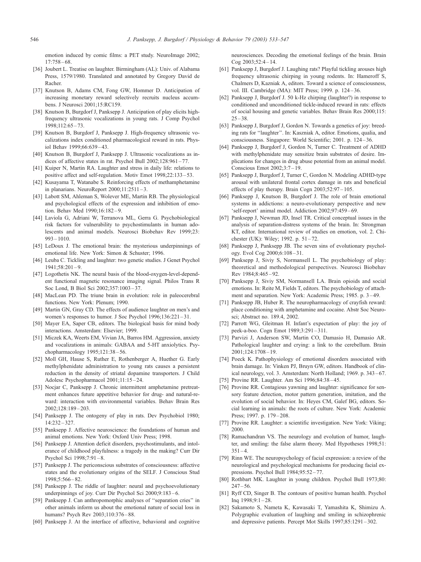<span id="page-13-0"></span>emotion induced by comic films: a PET study. NeuroImage 2002;  $17.758 - 68$ 

- [36] Joubert L. Treatise on laughter. Birmingham (AL): Univ. of Alabama Press, 1579/1980. Translated and annotated by Gregory David de Racher.
- [37] Knutson B, Adams CM, Fong GW, Hommer D. Anticipation of increasing monetary reward selectively recruits nucleus accumbens. J Neurosci 2001;15:RC159.
- [38] Knutson B, Burgdorf J, Panksepp J. Anticipation of play elicits highfrequency ultrasonic vocalizations in young rats. J Comp Psychol 1998;112:65– 73.
- [39] Knutson B, Burgdorf J, Panksepp J. High-frequency ultrasonic vocalizations index conditioned pharmacological reward in rats. Physiol Behav 1999;66:639–43.
- [40] Knutson B, Burgdorf J, Panksepp J. Ultrasonic vocalizations as indices of affective states in rat. Psychol Bull 2002;128:961–77.
- [41] Kuiper N, Martin RA. Laughter and stress in daily life: relations to positive affect and self-regulation. Motiv Emot 1998;22:133-53.
- [42] Kusayama T, Watanabe S. Reinforcing effects of methamphetamine in planarians. NeuroReport  $2000;11:2511-3$ .
- [43] Labott SM, Ahleman S, Wolever ME, Martin RB. The physiological and psychological effects of the expression and inhibition of emotion. Behav Med 1990;16:182-9.
- [44] Laviola G, Adriani W, Terranova ML, Gerra G. Psychobiological risk factors for vulnerability to psychostimulants in human adolescents and animal models. Neurosci Biobehav Rev 1999;23:  $993 - 1010$ .
- [45] LeDoux J. The emotional brain: the mysterious underpinnings of emotional life. New York: Simon & Schuster; 1996.
- [46] Leuba C. Tickling and laughter: two genetic studies. J Genet Psychol 1941;58:201–9.
- [47] Logothetis NK. The neural basis of the blood-oxygen-level-dependent functional magnetic resonance imaging signal. Philos Trans R Soc Lond, B Biol Sci 2002;357:1003-37.
- [48] MacLean PD. The triune brain in evolution: role in paleocerebral functions. New York: Plenum; 1990.
- [49] Martin GN, Gray CD. The effects of audience laughter on men's and women's responses to humor. J Soc Psychol 1996;136:221-31.
- [50] Mayer EA, Saper CB, editors. The biological basis for mind body interactions. Amsterdam: Elsevier; 1999.
- [51] Miczek KA, Weerts EM, Vivian JA, Barros HM. Aggression, anxiety and vocalizations in animals: GABAA and 5-HT anxiolytics. Psychopharmacology 1995;121:38–56.
- [52] Moll GH, Hause S, Ruther E, Rothenberger A, Huether G. Early methylphenidate administration to young rats causes a persistent reduction in the density of striatal dopamine transporters. J Child Adolesc Psychopharmacol 2001;11:15– 24.
- [53] Nocjar C, Panksepp J. Chronic intermittent amphetamine pretreatment enhances future appetitive behavior for drug- and natural-reward: interaction with environmental variables. Behav Brain Res 2002;128:189–203.
- [54] Panksepp J. The ontogeny of play in rats. Dev Psychobiol 1980; 14:232– 327.
- [55] Panksepp J. Affective neuroscience: the foundations of human and animal emotions. New York: Oxford Univ Press; 1998.
- [56] Panksepp J. Attention deficit disorders, psychostimulants, and intolerance of childhood playfulness: a tragedy in the making? Curr Dir Psychol Sci 1998;7:91–8.
- [57] Panksepp J. The periconscious substrates of consciousness: affective states and the evolutionary origins of the SELF. J Conscious Stud 1998;5:566–82.
- [58] Panksepp J. The riddle of laughter: neural and psychoevolutionary underpinnings of joy. Curr Dir Psychol Sci 2000;9:183-6.
- [59] Panksepp J. Can anthropomorphic analyses of ''separation cries'' in other animals inform us about the emotional nature of social loss in humans? Psych Rev 2003;110:376–88.
- [60] Panksepp J. At the interface of affective, behavioral and cognitive

neurosciences. Decoding the emotional feelings of the brain. Brain Cog 2003;52:4– 14.

- [61] Panksepp J, Burgdorf J. Laughing rats? Playful tickling arouses high frequency ultrasonic chirping in young rodents. In: Hameroff S, Chalmers D, Kazniak A, editors. Toward a science of consciousness, vol. III. Cambridge (MA): MIT Press; 1999. p. 124– 36.
- [62] Panksepp J, Burgdorf J. 50 k-Hz chirping (laughter?) in response to conditioned and unconditioned tickle-induced reward in rats: effects of social housing and genetic variables. Behav Brain Res 2000;115:  $25 - 38.$
- [63] Panksepp J, Burgdorf J, Gordon N. Towards a genetics of joy: breeding rats for ''laughter''. In: Kaszniak A, editor. Emotions, qualia, and consciousness. Singapore: World Scientific; 2001. p. 124– 36.
- [64] Panksepp J, Burgdorf J, Gordon N, Turner C. Treatment of ADHD with methylphenidate may sensitize brain substrates of desire. Implications for changes in drug abuse potential from an animal model. Conscious Emot 2002;3:7– 19.
- [65] Panksepp J, Burgdorf J, Turner C, Gordon N. Modeling ADHD-type arousal with unilateral frontal cortex damage in rats and beneficial effects of play therapy. Brain Cogn 2003;52:97 – 105.
- [66] Panksepp J, Knutson B, Burgdorf J. The role of brain emotional systems in addictions: a neuro-evolutionary perspective and new 'self-report' animal model. Addiction 2002;97:459– 69.
- [67] Panksepp J, Newman JD, Insel TR. Critical conceptual issues in the analysis of separation-distress systems of the brain. In: Strongman KT, editor. International review of studies on emotion, vol. 2. Chichester (UK): Wiley; 1992. p. 51–72.
- [68] Panksepp J, Panksepp JB. The seven sins of evolutionary psychology. Evol Cog 2000;6:108– 31.
- [69] Panksepp J, Siviy S, Normansell L. The psychobiology of play: theoretical and methodological perspectives. Neurosci Biobehav Rev 1984;8:465 – 92.
- [70] Panksepp J, Siviy SM, Normansell LA. Brain opioids and social emotions. In: Reite M, Fields T, editors. The psychobiology of attachment and separation. New York: Academic Press; 1985. p. 3 –49.
- [71] Panksepp JB, Huber R. The neuropharmacology of crayfish reward: place conditioning with amphetamine and cocaine. Abstr Soc Neurosci; Abstract no. 189.4, 2002.
- [72] Parrott WG, Gleitman H. Infant's expectation of play: the joy of peek-a-boo. Cogn Emot 1989;3:291– 311.
- [73] Parvizi J, Anderson SW, Martin CO, Damasio H, Damasio AR. Pathological laughter and crying: a link to the cerebellum. Brain 2001;124:1708 –19.
- [74] Poeck K. Pathophysiology of emotional disorders associated with brain damage. In: Vinken PJ, Bruyn GW, editors. Handbook of clinical neurology, vol. 3. Amsterdam: North Holland; 1969. p. 343-67.
- [75] Provine RR. Laughter. Am Sci 1996;84:38-45.
- [76] Provine RR. Contagious yawning and laughter: significance for sensory feature detection, motor pattern generation, imitation, and the evolution of social behavior. In: Heyes CM, Galef BG, editors. Social learning in animals: the roots of culture. New York: Academic Press; 1997. p. 179–208.
- [77] Provine RR. Laughter: a scientific investigation. New York: Viking; 2000.
- [78] Ramachandran VS. The neurology and evolution of humor, laughter, and smiling: the false alarm theory. Med Hypotheses 1998;51:  $351 - 4.$
- [79] Rinn WE. The neuropsychology of facial expression: a review of the neurological and psychological mechanisms for producing facial expressions. Psychol Bull 1984;95:52 –77.
- [80] Rothbart MK. Laughter in young children. Psychol Bull 1973;80:  $247 - 56$ .
- [81] Ryff CD, Singer B. The contours of positive human health. Psychol Inq  $1998:9:1-28$ .
- [82] Sakamoto S, Nameta K, Kawasaki T, Yamashita K, Shimizu A. Polygraphic evaluation of laughing and smiling in schizophrenic and depressive patients. Percept Mot Skills 1997;85:1291– 302.